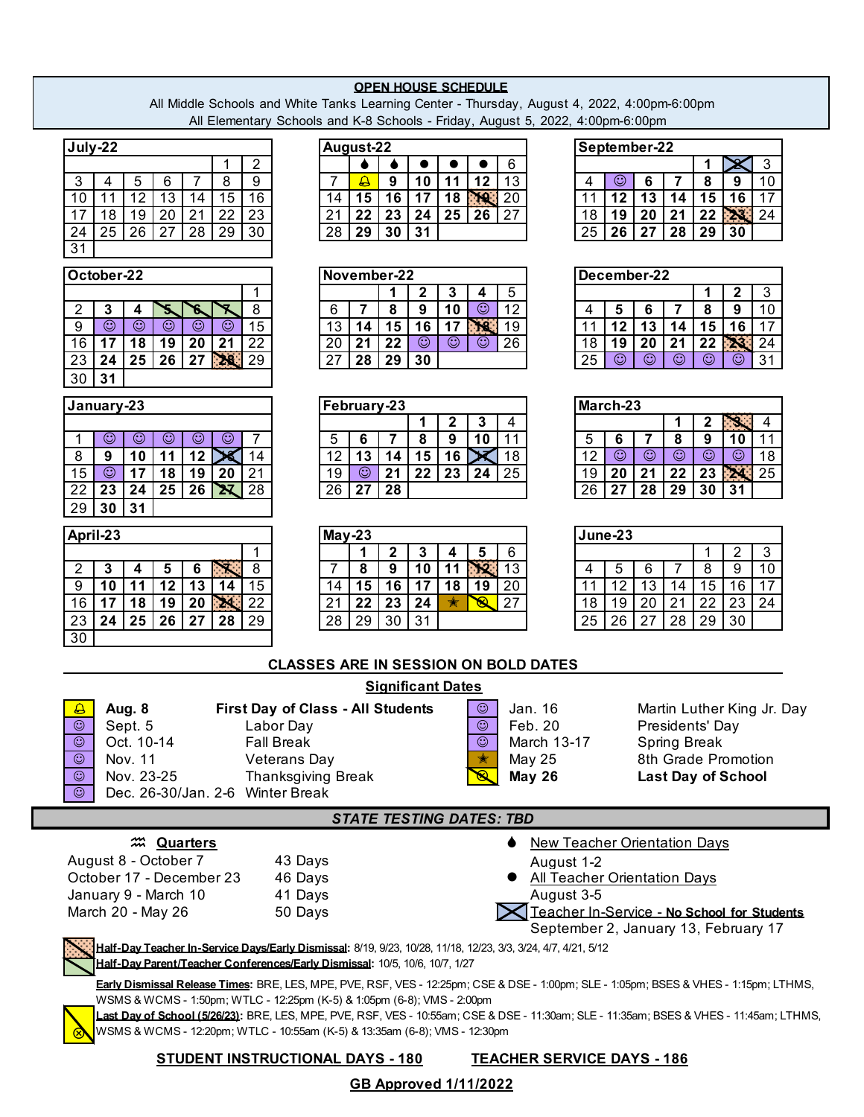## **OPEN HOUSE SCHEDULE**

All Middle Schools and White Tanks Learning Center - Thursday, August 4, 2022, 4:00pm-6:00pm All Elementary Schools and K-8 Schools - Friday, August 5, 2022, 4:00pm-6:00pm

| July-22                                                                                                                                                                                                               |                                             |                | August-22             |                          |                  |                    |                                 |                         |                                                      |                 |                         | September-22   |                         |             |                                                  |                            |  |
|-----------------------------------------------------------------------------------------------------------------------------------------------------------------------------------------------------------------------|---------------------------------------------|----------------|-----------------------|--------------------------|------------------|--------------------|---------------------------------|-------------------------|------------------------------------------------------|-----------------|-------------------------|----------------|-------------------------|-------------|--------------------------------------------------|----------------------------|--|
|                                                                                                                                                                                                                       | $\overline{2}$                              |                |                       |                          | $\bullet$        | $\bullet$          | $\bullet$                       | 6                       |                                                      |                 |                         |                |                         | 1           | $\boldsymbol{\varkappa}$                         | $\mathbf{3}$               |  |
| $\overline{7}$<br>8<br>3<br>5<br>6<br>4                                                                                                                                                                               | $\overline{9}$                              | $\overline{7}$ | $\Delta$              | 9                        | 10               | 11                 | 12                              | $\overline{13}$         |                                                      | 4               | $\odot$                 | 6              | $\overline{7}$          | 8           | 9                                                | 10                         |  |
| $\overline{12}$<br>$\overline{13}$<br>11<br>15<br>10<br>14<br>$\overline{20}$<br>$\overline{22}$<br>18<br>19<br>21<br>17                                                                                              | 16<br>$\overline{23}$                       | 14<br>21       | 15<br>22              | 16<br>$\overline{23}$    | 17<br>24         | 25                 | 18 PQ<br>26                     | 20<br>27                |                                                      | 11<br>18        | 12<br>19                | 13<br>20       | 14<br>21                | 15<br>22    | 16<br>23 24                                      | 17                         |  |
| $\overline{25}$<br>$\overline{26}$<br>$\overline{27}$<br>$\overline{28}$<br>29<br>24                                                                                                                                  | 30                                          | 28             | 29                    | 30                       | 31               |                    |                                 |                         |                                                      | $\overline{25}$ | 26                      | 27             | 28                      | 29          | 30                                               |                            |  |
| 31                                                                                                                                                                                                                    |                                             |                |                       |                          |                  |                    |                                 |                         |                                                      |                 |                         |                |                         |             |                                                  |                            |  |
|                                                                                                                                                                                                                       |                                             |                |                       |                          |                  |                    |                                 |                         |                                                      |                 |                         |                |                         |             |                                                  |                            |  |
| October-22                                                                                                                                                                                                            | 1                                           |                |                       | November-22<br>1         | $\boldsymbol{2}$ | 3                  | 4                               | 5                       |                                                      |                 |                         | December-22    |                         | 1           | $\mathbf{2}$                                     | 3                          |  |
| 5<br>$\overline{2}$<br>3<br>ኧ<br>4<br>6                                                                                                                                                                               | 8                                           | 6              | 7                     | 8                        | 9                | 10                 | $\overline{\odot}$              | $\overline{12}$         |                                                      | 4               | 5                       | 6              | 7                       | 8           | 9                                                | 10                         |  |
| $\overline{\odot}$<br>$\overline{\odot}$<br>$\overline{\odot}$<br>$\overline{\mathbb{O}}$<br>$\overline{\mathbb{O}}$<br>9                                                                                             | 15                                          | 13             | 14                    | 15                       | 16               | 17                 | R                               | 19                      |                                                      | 11              | $\overline{12}$         | 13             | 14                      | 15          | 16                                               | 17                         |  |
| 16<br>18<br>17<br>19<br>20<br>21                                                                                                                                                                                      | 22                                          | 20             | 21                    | $\overline{22}$          | $\odot$          | $\overline{\odot}$ | $\odot$                         | 26                      |                                                      | 18              | 19                      | 20             | 21                      | 22          | $\mathbf{z}$                                     | 24                         |  |
| $\overline{25}$<br>26<br>$27$ 28<br>23<br>24                                                                                                                                                                          | 29                                          | 27             | 28                    | 29                       | 30               |                    |                                 |                         |                                                      | 25              | $\overline{\mathbb{O}}$ | $\odot$        | $\overline{\mathbb{O}}$ | $\odot$     | $\odot$                                          | 31                         |  |
| 30<br>31                                                                                                                                                                                                              |                                             |                |                       |                          |                  |                    |                                 |                         |                                                      |                 |                         |                |                         |             |                                                  |                            |  |
| January-23                                                                                                                                                                                                            |                                             |                | February-23           |                          |                  |                    |                                 |                         |                                                      |                 | March-23                |                |                         |             |                                                  |                            |  |
|                                                                                                                                                                                                                       |                                             |                |                       |                          | -1               | $\mathbf{2}$       | 3                               | $\overline{\mathbf{4}}$ |                                                      |                 |                         |                | 1                       | $\mathbf 2$ | $\mathscr{S}$                                    | 4                          |  |
| $\odot$<br>$\odot$<br>$\odot$<br>$\odot$<br>$\odot$<br>1                                                                                                                                                              | 7                                           | 5              | 6                     | $\overline{7}$           | 8                | $\boldsymbol{9}$   | 10                              | 11                      |                                                      | 5               | 6                       | $\overline{7}$ | 8                       | 9           | 10                                               | 11                         |  |
| $\cancel{\mathbb{X}}$<br>8<br>10<br>11<br>12<br>9                                                                                                                                                                     | 14                                          | 12             | 13                    | 14                       | 15               | 16                 | X                               | 18                      |                                                      | 12              | $\odot$                 | $\odot$        | $\odot$                 | $\odot$     | $\overline{\mathbb{O}}$                          | 18                         |  |
| $\odot$<br>15<br>17<br>18<br>19<br>20                                                                                                                                                                                 | 21                                          | 19             | $\odot$               | 21                       | 22               | 23                 | 24                              | 25                      |                                                      | 19              | 20                      | 21             | 22                      | 23          | <b>XI</b>                                        | 25                         |  |
| 25<br>$\mathbf{x}$<br>22<br>23<br>24<br>26                                                                                                                                                                            | 28                                          | 26             | 27                    | 28                       |                  |                    |                                 |                         |                                                      | 26              | 27                      | 28             | 29                      | 30          | 31                                               |                            |  |
| 31<br>29<br>30                                                                                                                                                                                                        |                                             |                |                       |                          |                  |                    |                                 |                         |                                                      |                 |                         |                |                         |             |                                                  |                            |  |
| April-23                                                                                                                                                                                                              |                                             | $May-23$       |                       |                          |                  |                    |                                 |                         |                                                      |                 | June-23                 |                |                         |             |                                                  |                            |  |
|                                                                                                                                                                                                                       | 1                                           |                | $\mathbf 1$           | $\overline{2}$           | 3                | 4                  | 5                               | 6                       |                                                      |                 |                         |                |                         |             | 2                                                | 3                          |  |
| Х<br>3<br>5<br>$\overline{2}$<br>6<br>4                                                                                                                                                                               | $\overline{8}$                              | 7              | 8                     | 9                        | 10               | 11                 | N2                              | 13                      |                                                      | 4               | 5                       | 6              | 7                       | 8           | 9                                                | 10                         |  |
| $\overline{12}$<br>10<br>11<br>13<br>9<br>14<br>X<br>16<br>17<br>18<br>19<br>20                                                                                                                                       | 15<br>22                                    | 14<br>21       | $1\overline{5}$<br>22 | 16<br>23                 | 17<br>24         | 18<br>★            | 19                              | 20                      |                                                      | 11<br>18        | 12<br>19                | 13<br>20       | 14<br>21                | 15<br>22    | 16<br>23                                         | 17                         |  |
| 25<br>24<br>26<br>27<br>28<br>23                                                                                                                                                                                      | 29                                          | 28             | 29                    | 30                       | 31               |                    |                                 | 27                      |                                                      | 25              | 26                      | 27             | 28                      | 29          | 30                                               | 24                         |  |
| $\overline{30}$                                                                                                                                                                                                       |                                             |                |                       |                          |                  |                    |                                 |                         |                                                      |                 |                         |                |                         |             |                                                  |                            |  |
|                                                                                                                                                                                                                       |                                             |                |                       |                          |                  |                    |                                 |                         |                                                      |                 |                         |                |                         |             |                                                  |                            |  |
|                                                                                                                                                                                                                       | <b>CLASSES ARE IN SESSION ON BOLD DATES</b> |                |                       |                          |                  |                    |                                 |                         |                                                      |                 |                         |                |                         |             |                                                  |                            |  |
|                                                                                                                                                                                                                       |                                             |                |                       | <b>Significant Dates</b> |                  |                    |                                 |                         |                                                      |                 |                         |                |                         |             |                                                  |                            |  |
| <b>Aug. 8</b><br>$\mathbf{\Omega}$                                                                                                                                                                                    | <b>First Day of Class - All Students</b>    |                |                       |                          |                  |                    | ☺                               |                         | Jan. 16                                              |                 |                         |                |                         |             |                                                  | Martin Luther King Jr. Day |  |
| $\odot$<br>Sept. 5                                                                                                                                                                                                    | Labor Day                                   |                |                       |                          |                  |                    | $\odot$                         |                         | Feb. 20                                              |                 |                         |                | Presidents' Day         |             |                                                  |                            |  |
| $\overline{\odot}$<br>Oct. 10-14<br>$\overline{\mathbb{O}}$                                                                                                                                                           | <b>Fall Break</b>                           |                |                       |                          |                  |                    | $\odot$<br>★                    |                         | March 13-17                                          |                 |                         |                | Spring Break            |             |                                                  |                            |  |
| Nov. 11<br>$\overline{\mathbb{O}}$<br>Nov. 23-25                                                                                                                                                                      | Veterans Day<br>Thanksgiving Break          |                |                       |                          |                  |                    |                                 |                         | <b>May 25</b><br><b>R</b> May 26                     |                 |                         |                |                         |             | 8th Grade Promotion<br><b>Last Day of School</b> |                            |  |
| ☺<br>Dec. 26-30/Jan. 2-6 Winter Break                                                                                                                                                                                 |                                             |                |                       |                          |                  |                    |                                 |                         |                                                      |                 |                         |                |                         |             |                                                  |                            |  |
|                                                                                                                                                                                                                       |                                             |                |                       |                          |                  |                    |                                 |                         |                                                      |                 |                         |                |                         |             |                                                  |                            |  |
|                                                                                                                                                                                                                       |                                             |                |                       |                          |                  |                    | <b>STATE TESTING DATES: TBD</b> |                         |                                                      |                 |                         |                |                         |             |                                                  |                            |  |
| 222 Quarters                                                                                                                                                                                                          |                                             |                |                       |                          |                  |                    |                                 |                         | <b>New Teacher Orientation Days</b>                  |                 |                         |                |                         |             |                                                  |                            |  |
| August 8 - October 7                                                                                                                                                                                                  | 43 Days                                     |                |                       |                          |                  |                    |                                 |                         | August 1-2                                           |                 |                         |                |                         |             |                                                  |                            |  |
| October 17 - December 23<br>January 9 - March 10                                                                                                                                                                      | 46 Days<br>41 Days                          |                |                       |                          |                  |                    |                                 |                         | <b>All Teacher Orientation Days</b><br>August 3-5    |                 |                         |                |                         |             |                                                  |                            |  |
| March 20 - May 26                                                                                                                                                                                                     | 50 Days                                     |                |                       |                          |                  |                    |                                 |                         | <b>X</b> Teacher In-Service - No School for Students |                 |                         |                |                         |             |                                                  |                            |  |
|                                                                                                                                                                                                                       |                                             |                |                       |                          |                  |                    |                                 |                         | September 2, January 13, February 17                 |                 |                         |                |                         |             |                                                  |                            |  |
| Half-Day Teacher In-Service Days/Early Dismissal: 8/19, 9/23, 10/28, 11/18, 12/23, 3/3, 3/24, 4/7, 4/21, 5/12<br>Half-Day Parent/Teacher Conferences/Early Dismissal: 10/5, 10/6, 10/7, 1/27                          |                                             |                |                       |                          |                  |                    |                                 |                         |                                                      |                 |                         |                |                         |             |                                                  |                            |  |
| Early Dismissal Release Times: BRE, LES, MPE, PVE, RSF, VES - 12:25pm; CSE & DSE - 1:00pm; SLE - 1:05pm; BSES & VHES - 1:15pm; LTHMS,                                                                                 |                                             |                |                       |                          |                  |                    |                                 |                         |                                                      |                 |                         |                |                         |             |                                                  |                            |  |
| WSMS & WCMS - 1:50pm; WTLC - 12:25pm (K-5) & 1:05pm (6-8); VMS - 2:00pm                                                                                                                                               |                                             |                |                       |                          |                  |                    |                                 |                         |                                                      |                 |                         |                |                         |             |                                                  |                            |  |
| Last Dav of School (5/26/23): BRE, LES, MPE, PVE, RSF, VES - 10:55am; CSE & DSE - 11:30am; SLE - 11:35am; BSES & VHES - 11:45am; LTHMS,<br>WSMS & WCMS - 12:20pm; WTLC - 10:55am (K-5) & 13:35am (6-8); VMS - 12:30pm |                                             |                |                       |                          |                  |                    |                                 |                         |                                                      |                 |                         |                |                         |             |                                                  |                            |  |
|                                                                                                                                                                                                                       |                                             |                |                       |                          |                  |                    |                                 |                         |                                                      |                 |                         |                |                         |             |                                                  |                            |  |
|                                                                                                                                                                                                                       | <b>STUDENT INSTRUCTIONAL DAYS - 180</b>     |                |                       |                          |                  |                    |                                 |                         | <b>TEACHER SERVICE DAYS - 186</b>                    |                 |                         |                |                         |             |                                                  |                            |  |
|                                                                                                                                                                                                                       |                                             |                |                       |                          |                  |                    | <b>GB Approved 1/11/2022</b>    |                         |                                                      |                 |                         |                |                         |             |                                                  |                            |  |
|                                                                                                                                                                                                                       |                                             |                |                       |                          |                  |                    |                                 |                         |                                                      |                 |                         |                |                         |             |                                                  |                            |  |